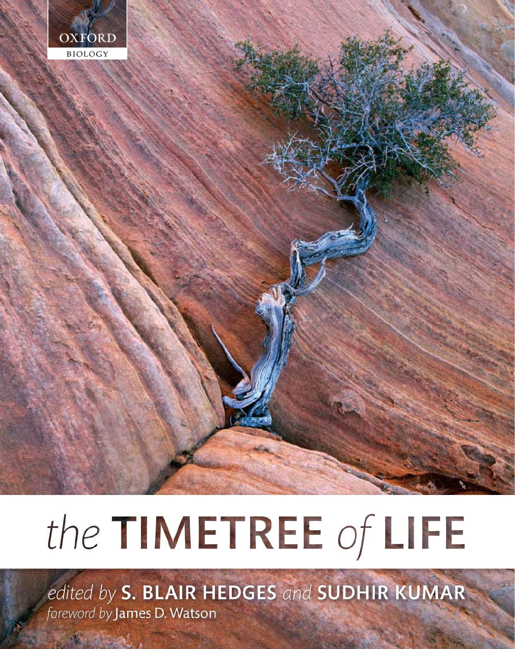

# the TIMETREE of LIFE

edited by S. BLAIR HEDGES and SUDHIR KUMAR foreword by James D. Watson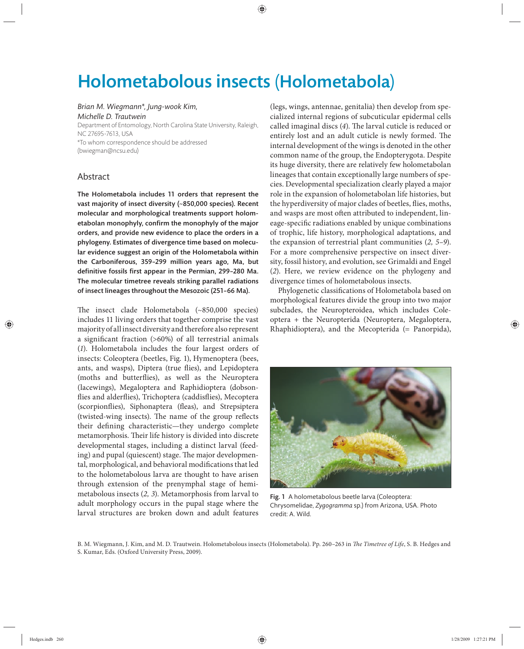# Holometabolous insects (Holometabola)

*Brian M. Wiegmann\*, Jung-wook Kim,* 

*Michelle D. Trautwein* Department of Entomology, North Carolina State University, Raleigh, NC 27695-7613, USA \*To whom correspondence should be addressed (bwiegman@ncsu.edu)

## Abstract

The Holometabola includes 11 orders that represent the vast majority of insect diversity (~850,000 species). Recent molecular and morphological treatments support holometabolan monophyly, confirm the monophyly of the major orders, and provide new evidence to place the orders in a phylogeny. Estimates of divergence time based on molecular evidence suggest an origin of the Holometabola within the Carboniferous, 359-299 million years ago, Ma, but definitive fossils first appear in the Permian, 299-280 Ma. The molecular timetree reveals striking parallel radiations of insect lineages throughout the Mesozoic (251–66 Ma).

The insect clade Holometabola (~850,000 species) includes 11 living orders that together comprise the vast majority of all insect diversity and therefore also represent a significant fraction  $(>60%)$  of all terrestrial animals (*1*). Holometabola includes the four largest orders of insects: Coleoptera (beetles, Fig. 1), Hymenoptera (bees, ants, and wasps), Diptera (true flies), and Lepidoptera (moths and butterflies), as well as the Neuroptera (lacewings), Megaloptera and Raphidioptera (dobsonflies and alderflies), Trichoptera (caddisflies), Mecoptera (scorpionflies), Siphonaptera (fleas), and Strepsiptera (twisted-wing insects). The name of the group reflects their defining characteristic—they undergo complete metamorphosis. Their life history is divided into discrete developmental stages, including a distinct larval (feeding) and pupal (quiescent) stage. The major developmental, morphological, and behavioral modifications that led to the holometabolous larva are thought to have arisen through extension of the prenymphal stage of hemimetabolous insects (*2, 3*). Metamorphosis from larval to adult morphology occurs in the pupal stage where the larval structures are broken down and adult features

(legs, wings, antennae, genitalia) then develop from specialized internal regions of subcuticular epidermal cells called imaginal discs (4). The larval cuticle is reduced or entirely lost and an adult cuticle is newly formed. The internal development of the wings is denoted in the other common name of the group, the Endopterygota. Despite its huge diversity, there are relatively few holometabolan lineages that contain exceptionally large numbers of species. Developmental specialization clearly played a major role in the expansion of holometabolan life histories, but the hyperdiversity of major clades of beetles, flies, moths, and wasps are most often attributed to independent, lineage-specific radiations enabled by unique combinations of trophic, life history, morphological adaptations, and the expansion of terrestrial plant communities (*2, 5–9*). For a more comprehensive perspective on insect diversity, fossil history, and evolution, see Grimaldi and Engel (*2*). Here, we review evidence on the phylogeny and divergence times of holometabolous insects.

Phylogenetic classifications of Holometabola based on morphological features divide the group into two major subclades, the Neuropteroidea, which includes Coleoptera + the Neuropterida (Neuroptera, Megaloptera, Rhaphidioptera), and the Mecopterida (= Panorpida),



Fig. 1 A holometabolous beetle larva (Coleoptera: Chrysomelidae, *Zygogramma* sp.) from Arizona, USA. Photo credit: A. Wild.

B. M. Wiegmann, J. Kim, and M. D. Trautwein. Holometabolous insects (Holometabola). Pp. 260-263 in *The Timetree of Life*, S. B. Hedges and S. Kumar, Eds. (Oxford University Press, 2009).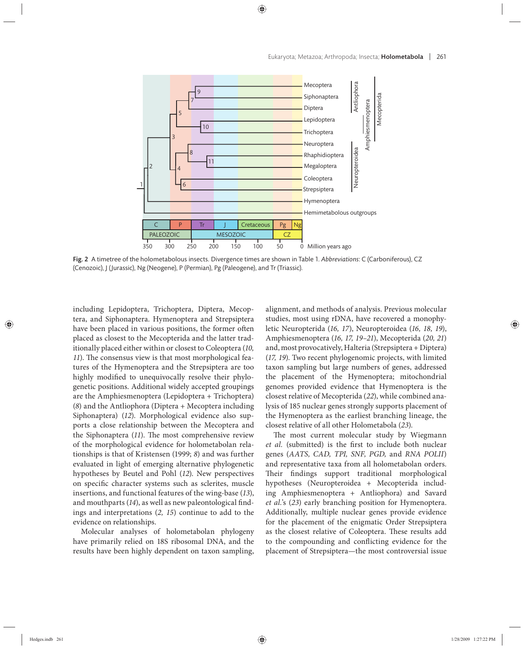

Fig. 2 A timetree of the holometabolous insects. Divergence times are shown in Table 1. *Abbreviations*: C (Carboniferous), CZ (Cenozoic), J (Jurassic), Ng (Neogene), P (Permian), Pg (Paleogene), and Tr (Triassic).

including Lepidoptera, Trichoptera, Diptera, Mecoptera, and Siphonaptera. Hymenoptera and Strepsiptera have been placed in various positions, the former often placed as closest to the Mecopterida and the latter traditionally placed either within or closest to Coleoptera (*10,*  11). The consensus view is that most morphological features of the Hymenoptera and the Strepsiptera are too highly modified to unequivocally resolve their phylogenetic positions. Additional widely accepted groupings are the Amphiesmenoptera (Lepidoptera + Trichoptera) (*8*) and the Antliophora (Diptera + Mecoptera including Siphonaptera) (12). Morphological evidence also supports a close relationship between the Mecoptera and the Siphonaptera (11). The most comprehensive review of the morphological evidence for holometabolan relationships is that of Kristensen (1999; *8*) and was further evaluated in light of emerging alternative phylogenetic hypotheses by Beutel and Pohl (*12*). New perspectives on specific character systems such as sclerites, muscle insertions, and functional features of the wing-base (*13*), and mouthparts  $(14)$ , as well as new paleontological findings and interpretations (*2, 15*) continue to add to the evidence on relationships.

Molecular analyses of holometabolan phylogeny have primarily relied on 18S ribosomal DNA, and the results have been highly dependent on taxon sampling,

alignment, and methods of analysis. Previous molecular studies, most using rDNA, have recovered a monophyletic Neuropterida (*16, 17*), Neuropteroidea (*16, 18, 19*), Amphiesmenoptera (*16, 17, 19–21*), Mecopterida (*20, 21*) and, most provocatively, Halteria (Strepsiptera + Diptera) (*17, 19*). Two recent phylogenomic projects, with limited taxon sampling but large numbers of genes, addressed the placement of the Hymenoptera; mitochondrial genomes provided evidence that Hymenoptera is the closest relative of Mecopterida (*22*), while combined analysis of 185 nuclear genes strongly supports placement of the Hymenoptera as the earliest branching lineage, the closest relative of all other Holometabola (*23*).

The most current molecular study by Wiegmann *et al.* (submitted) is the first to include both nuclear genes (*AATS, CAD, TPI, SNF, PGD,* and *RNA POLII*) and representative taxa from all holometabolan orders. Their findings support traditional morphological hypotheses (Neuropteroidea + Mecopterida including Amphiesmenoptera + Antliophora) and Savard *et al.*'s (*23*) early branching position for Hymenoptera. Additionally, multiple nuclear genes provide evidence for the placement of the enigmatic Order Strepsiptera as the closest relative of Coleoptera. These results add to the compounding and conflicting evidence for the placement of Strepsiptera—the most controversial issue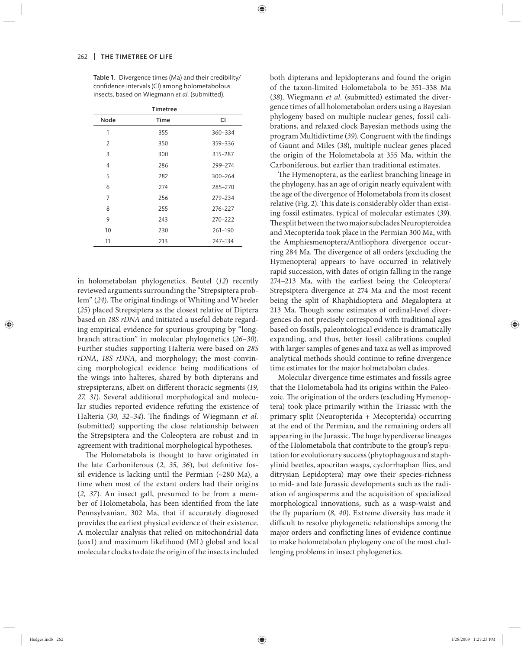|                     | CI      |
|---------------------|---------|
| Node<br><b>Time</b> |         |
| 1<br>355            | 360-334 |
| 350<br>2            | 359-336 |
| 3<br>300            | 315-287 |
| 286<br>4            | 299-274 |
| 5<br>282            | 300-264 |
| 6<br>274            | 285-270 |
| 7<br>256            | 279-234 |
| 8<br>255            | 276-227 |
| 9<br>243            | 270-222 |
| 10<br>230           | 261-190 |
| 11<br>213           | 247-134 |

Table 1. Divergence times (Ma) and their credibility/ confidence intervals (CI) among holometabolous insects, based on Wiegmann *et al.* (submitted).

in holometabolan phylogenetics. Beutel (*12*) recently reviewed arguments surrounding the "Strepsiptera problem" (24). The original findings of Whiting and Wheeler (*25*) placed Strepsiptera as the closest relative of Diptera based on *18S rDNA* and initiated a useful debate regarding empirical evidence for spurious grouping by "longbranch attraction" in molecular phylogenetics (*26–30*). Further studies supporting Halteria were based on *28S rDNA*, *18S rDNA*, and morphology; the most convincing morphological evidence being modifications of the wings into halteres, shared by both dipterans and strepsipterans, albeit on different thoracic segments (19, *27, 31*). Several additional morphological and molecular studies reported evidence refuting the existence of Halteria (30, 32-34). The findings of Wiegmann et al. (submitted) supporting the close relationship between the Strepsiptera and the Coleoptera are robust and in agreement with traditional morphological hypotheses.

The Holometabola is thought to have originated in the late Carboniferous (2, 35, 36), but definitive fossil evidence is lacking until the Permian  $(\sim 280$  Ma), a time when most of the extant orders had their origins (2, 37). An insect gall, presumed to be from a member of Holometabola, has been identified from the late Pennsylvanian, 302 Ma, that if accurately diagnosed provides the earliest physical evidence of their existence. A molecular analysis that relied on mitochondrial data (cox1) and maximum likelihood (ML) global and local molecular clocks to date the origin of the insects included both dipterans and lepidopterans and found the origin of the taxon-limited Holometabola to be 351–338 Ma (*38*). Wiegmann *et al.* (submitted) estimated the divergence times of all holometabolan orders using a Bayesian phylogeny based on multiple nuclear genes, fossil calibrations, and relaxed clock Bayesian methods using the program Multidivtime (39). Congruent with the findings of Gaunt and Miles (*38*), multiple nuclear genes placed the origin of the Holometabola at 355 Ma, within the Carboniferous, but earlier than traditional estimates.

The Hymenoptera, as the earliest branching lineage in the phylogeny, has an age of origin nearly equivalent with the age of the divergence of Holometabola from its closest relative (Fig. 2). This date is considerably older than existing fossil estimates, typical of molecular estimates (*39*). The split between the two major subclades Neuropteroidea and Mecopterida took place in the Permian 300 Ma, with the Amphiesmenoptera/Antliophora divergence occurring 284 Ma. The divergence of all orders (excluding the Hymenoptera) appears to have occurred in relatively rapid succession, with dates of origin falling in the range 274–213 Ma, with the earliest being the Coleoptera/ Strepsiptera divergence at 274 Ma and the most recent being the split of Rhaphidioptera and Megaloptera at 213 Ma. Though some estimates of ordinal-level divergences do not precisely correspond with traditional ages based on fossils, paleontological evidence is dramatically expanding, and thus, better fossil calibrations coupled with larger samples of genes and taxa as well as improved analytical methods should continue to refine divergence time estimates for the major holmetabolan clades.

Molecular divergence time estimates and fossils agree that the Holometabola had its origins within the Paleozoic. The origination of the orders (excluding Hymenoptera) took place primarily within the Triassic with the primary split (Neuropterida + Mecopterida) occurring at the end of the Permian, and the remaining orders all appearing in the Jurassic. The huge hyperdiverse lineages of the Holometabola that contribute to the group's reputation for evolutionary success (phytophagous and staphylinid beetles, apocritan wasps, cyclorrhaphan flies, and ditrysian Lepidoptera) may owe their species-richness to mid- and late Jurassic developments such as the radiation of angiosperms and the acquisition of specialized morphological innovations, such as a wasp-waist and the fly puparium (8, 40). Extreme diversity has made it difficult to resolve phylogenetic relationships among the major orders and conflicting lines of evidence continue to make holometabolan phylogeny one of the most challenging problems in insect phylogenetics.